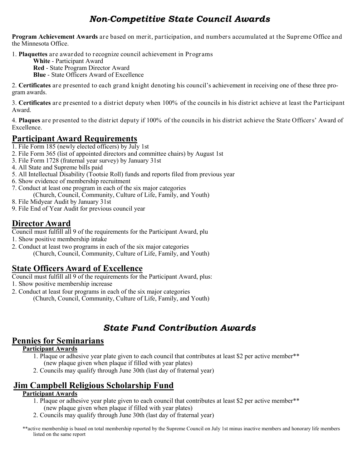## *Non-Competitive State Council Awards*

**Program Achievement Awards** are based on merit, participation, and numbers accumulated at the Supreme Office and the Minnesota Office.

1. **Plaquettes** are awarded to recognize council achievement in Programs

**White** - Participant Award

**Red** - State Program Director Award

**Blue** - State Officers Award of Excellence

2. **Certificates** are presented to each grand knight denoting his council's achievement in receiving one of these three program awards.

3. **Certificates** are presented to a district deputy when 100% of the councils in his district achieve at least the Participant Award.

4. **Plaques** are presented to the district deputy if 100% of the councils in his district achieve the State Officersí Award of Excellence.

### **Participant Award Requirements**

- 1. File Form 185 (newly elected officers) by July 1st
- 2. File Form 365 (list of appointed directors and committee chairs) by August 1st
- 3. File Form 1728 (fraternal year survey) by January 31st
- 4. All State and Supreme bills paid
- 5. All Intellectual Disability (Tootsie Roll) funds and reports filed from previous year
- 6. Show evidence of membership recruitment
- 7. Conduct at least one program in each of the six major categories
- (Church, Council, Community, Culture of Life, Family, and Youth)
- 8. File Midyear Audit by January 31st
- 9. File End of Year Audit for previous council year

## **Director Award**

- Council must fulfill all 9 of the requirements for the Participant Award, plu
- 1. Show positive membership intake
- 2. Conduct at least two programs in each of the six major categories (Church, Council, Community, Culture of Life, Family, and Youth)

## **State Officers Award of Excellence**

Council must fulfill all 9 of the requirements for the Participant Award, plus:

- 1. Show positive membership increase
- 2. Conduct at least four programs in each of the six major categories (Church, Council, Community, Culture of Life, Family, and Youth)

## *State Fund Contribution Awards*

### **Pennies for Seminarians**

### **Participant Awards**

- 1. Plaque or adhesive year plate given to each council that contributes at least \$2 per active member\*\* (new plaque given when plaque if filled with year plates)
- 2. Councils may qualify through June 30th (last day of fraternal year)

## **Jim Campbell Religious Scholarship Fund**

### **Participant Awards**

- 1. Plaque or adhesive year plate given to each council that contributes at least \$2 per active member\*\* (new plaque given when plaque if filled with year plates)
- 2. Councils may qualify through June 30th (last day of fraternal year)
- \*\*active membership is based on total membership reported by the Supreme Council on July 1st minus inactive members and honorary life members listed on the same report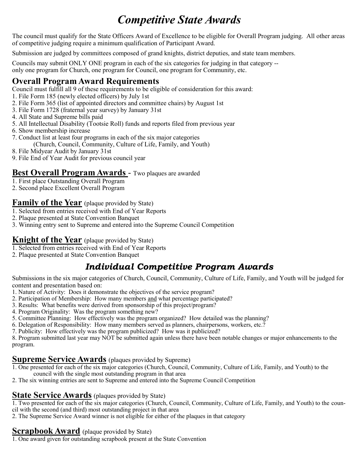# *Competitive State Awards*

The council must qualify for the State Officers Award of Excellence to be eligible for Overall Program judging. All other areas of competitive judging require a minimum qualification of Participant Award.

Submission are judged by committees composed of grand knights, district deputies, and state team members.

Councils may submit ONLY ONE program in each of the six categories for judging in that category - only one program for Church, one program for Council, one program for Community, etc.

## **Overall Program Award Requirements**

Council must fulfill all 9 of these requirements to be eligible of consideration for this award:

- 1. File Form 185 (newly elected officers) by July 1st
- 2. File Form 365 (list of appointed directors and committee chairs) by August 1st
- 3. File Form 1728 (fraternal year survey) by January 31st
- 4. All State and Supreme bills paid
- 5. All Intellectual Disability (Tootsie Roll) funds and reports filed from previous year
- 6. Show membership increase
- 7. Conduct list at least four programs in each of the six major categories (Church, Council, Community, Culture of Life, Family, and Youth)
- 8. File Midyear Audit by January 31st
- 9. File End of Year Audit for previous council year

### **Best Overall Program Awards** - Two plaques are awarded

- 1. First place Outstanding Overall Program
- 2. Second place Excellent Overall Program

### **Family of the Year** (plaque provided by State)

- 1. Selected from entries received with End of Year Reports
- 2. Plaque presented at State Convention Banquet
- 3. Winning entry sent to Supreme and entered into the Supreme Council Competition

## **Knight of the Year** (plaque provided by State)

- 1. Selected from entries received with End of Year Reports
- 2. Plaque presented at State Convention Banquet

## *Individual Competitive Program Awards*

Submissions in the six major categories of Church, Council, Community, Culture of Life, Family, and Youth will be judged for content and presentation based on:

- 1. Nature of Activity: Does it demonstrate the objectives of the service program?
- 2. Participation of Membership: How many members and what percentage participated?
- 3. Results: What benefits were derived from sponsorship of this project/program?
- 4. Program Originality: Was the program something new?
- 5. Committee Planning: How effectively was the program organized? How detailed was the planning?
- 6. Delegation of Responsibility: How many members served as planners, chairpersons, workers, etc.?
- 7. Publicity: How effectively was the program publicized? How was it publicized?

8. Program submitted last year may NOT be submitted again unless there have been notable changes or major enhancements to the program.

### **Supreme Service Awards** (plaques provided by Supreme)

- 1. One presented for each of the six major categories (Church, Council, Community, Culture of Life, Family, and Youth) to the council with the single most outstanding program in that area
- 2. The six winning entries are sent to Supreme and entered into the Supreme Council Competition

## **State Service Awards** (plaques provided by State)

1. Two presented for each of the six major categories (Church, Council, Community, Culture of Life, Family, and Youth) to the council with the second (and third) most outstanding project in that area

2. The Supreme Service Award winner is not eligible for either of the plaques in that category

## **Scrapbook Award** (plaque provided by State)

1. One award given for outstanding scrapbook present at the State Convention